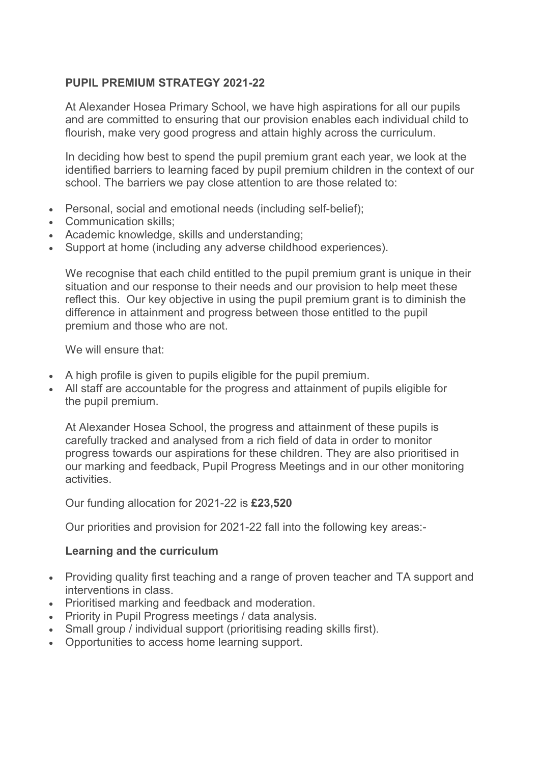## PUPIL PREMIUM STRATEGY 2021-22

At Alexander Hosea Primary School, we have high aspirations for all our pupils and are committed to ensuring that our provision enables each individual child to flourish, make very good progress and attain highly across the curriculum.

In deciding how best to spend the pupil premium grant each year, we look at the identified barriers to learning faced by pupil premium children in the context of our school. The barriers we pay close attention to are those related to:

- Personal, social and emotional needs (including self-belief);
- Communication skills:
- Academic knowledge, skills and understanding;
- Support at home (including any adverse childhood experiences).

We recognise that each child entitled to the pupil premium grant is unique in their situation and our response to their needs and our provision to help meet these reflect this. Our key objective in using the pupil premium grant is to diminish the difference in attainment and progress between those entitled to the pupil premium and those who are not.

We will ensure that:

- A high profile is given to pupils eligible for the pupil premium.
- All staff are accountable for the progress and attainment of pupils eligible for the pupil premium.

At Alexander Hosea School, the progress and attainment of these pupils is carefully tracked and analysed from a rich field of data in order to monitor progress towards our aspirations for these children. They are also prioritised in our marking and feedback, Pupil Progress Meetings and in our other monitoring activities.

Our funding allocation for 2021-22 is £23,520

Our priorities and provision for 2021-22 fall into the following key areas:-

#### Learning and the curriculum

- Providing quality first teaching and a range of proven teacher and TA support and interventions in class.
- Prioritised marking and feedback and moderation.
- Priority in Pupil Progress meetings / data analysis.
- Small group / individual support (prioritising reading skills first).
- Opportunities to access home learning support.